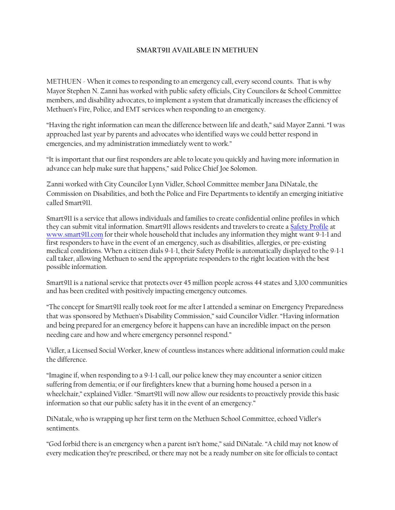## **SMART911 AVAILABLE IN METHUEN**

METHUEN - When it comes to responding to an emergency call, every second counts. That is why Mayor Stephen N. Zanni has worked with public safety officials, City Councilors & School Committee members, and disability advocates, to implement a system that dramatically increases the efficiency of Methuen's Fire, Police, and EMT services when responding to an emergency.

"Having the right information can mean the difference between life and death," said Mayor Zanni. "I was approached last year by parents and advocates who identified ways we could better respond in emergencies, and my administration immediately went to work."

"It is important that our first responders are able to locate you quickly and having more information in advance can help make sure that happens," said Police Chief Joe Solomon.

Zanni worked with City Councilor Lynn Vidler, School Committee member Jana DiNatale, the Commission on Disabilities, and both the Police and Fire Departments to identify an emerging initiative called Smart911.

Smart911 is a service that allows individuals and families to create confidential online profiles in which they can submit vital information. Smart911 allows residents and travelers to create a [Safety Profile](https://www.smart911.com/smart911/registration/registrationLanding.action) at [www.smart911.com](http://www.smart911.com/) for their whole household that includes any information they might want 9-1-1 and first responders to have in the event of an emergency, such as disabilities, allergies, or pre-existing medical conditions. When a citizen dials 9-1-1, their Safety Profile is automatically displayed to the 9-1-1 call taker, allowing Methuen to send the appropriate responders to the right location with the best possible information.

Smart911 is a national service that protects over 45 million people across 44 states and 3,100 communities and has been credited with positively impacting emergency outcomes.

"The concept for Smart911 really took root for me after I attended a seminar on Emergency Preparedness that was sponsored by Methuen's Disability Commission," said Councilor Vidler. "Having information and being prepared for an emergency before it happens can have an incredible impact on the person needing care and how and where emergency personnel respond."

Vidler, a Licensed Social Worker, knew of countless instances where additional information could make the difference.

"Imagine if, when responding to a 9-1-1 call, our police knew they may encounter a senior citizen suffering from dementia; or if our firefighters knew that a burning home housed a person in a wheelchair," explained Vidler. "Smart911 will now allow our residents to proactively provide this basic information so that our public safety has it in the event of an emergency."

DiNatale, who is wrapping up her first term on the Methuen School Committee, echoed Vidler's sentiments.

"God forbid there is an emergency when a parent isn't home," said DiNatale. "A child may not know of every medication they're prescribed, or there may not be a ready number on site for officials to contact